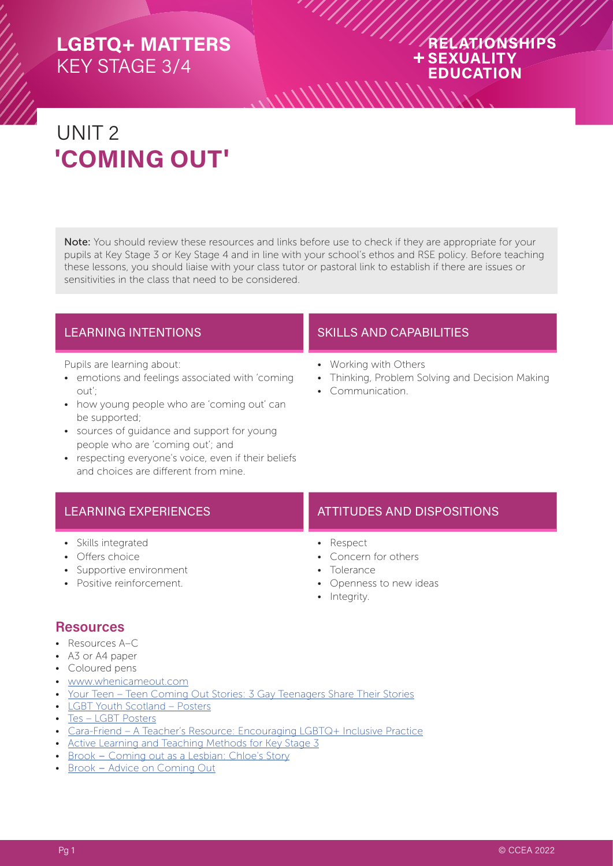## RELATIONSHIPS **+SEXUALITY EDUCATION**

# UNIT 2 **'COMING OUT'**

Note: You should review these resources and links before use to check if they are appropriate for your pupils at Key Stage 3 or Key Stage 4 and in line with your school's ethos and RSE policy. Before teaching these lessons, you should liaise with your class tutor or pastoral link to establish if there are issues or sensitivities in the class that need to be considered.

Pupils are learning about:

- emotions and feelings associated with 'coming out';
- how young people who are 'coming out' can be supported;
- sources of guidance and support for young people who are 'coming out'; and
- respecting everyone's voice, even if their beliefs and choices are different from mine.

### LEARNING INTENTIONS **SKILLS AND CAPABILITIES**

- Working with Others
- Thinking, Problem Solving and Decision Making
- Communication.

- Skills integrated
- Offers choice
- Supportive environment
- Positive reinforcement.

#### LEARNING EXPERIENCES **ATTITUDES** AND DISPOSITIONS

- Respect
	- Concern for others
	- Tolerance
	- Openness to new ideas
	- Integrity.

#### **Resources**

- Resources A–C
- A3 or A4 paper
- Coloured pens
- [www.whenicameout.com](https://whenicameout.com)
- [Your Teen Teen Coming Out Stories: 3 Gay Teenagers Share Their Stories](https://yourteenmag.com/health/teen-sexuality/coming-out-personal-stories)
- LGBT Youth Scotland Posters
- [Tes LGBT Posters](https://www.tes.com/teaching-resource/lgbt-posters-11016575)
- [Cara-Friend A Teacher's Resource: Encouraging LGBTQ+ Inclusive Practice](https://cara-friend.org.uk/codeless_portfolio/teachers-resource/)
- [Active Learning and Teaching Methods for Key Stage 3](https://ccea.org.uk/downloads/docs/ccea-asset/Curriculum/Active%20Learning%20and%20Teaching%20Methods%20for%20Key%20Stage%203.pdf)
- Brook – [Coming out as a Lesbian: Chloe's Story](https://www.brook.org.uk/your-life/coming-out-as-a-lesbian-chloes-story/)
- Brook [Advice on Coming Out](https://www.brook.org.uk/your-life/advice-on-coming-out/)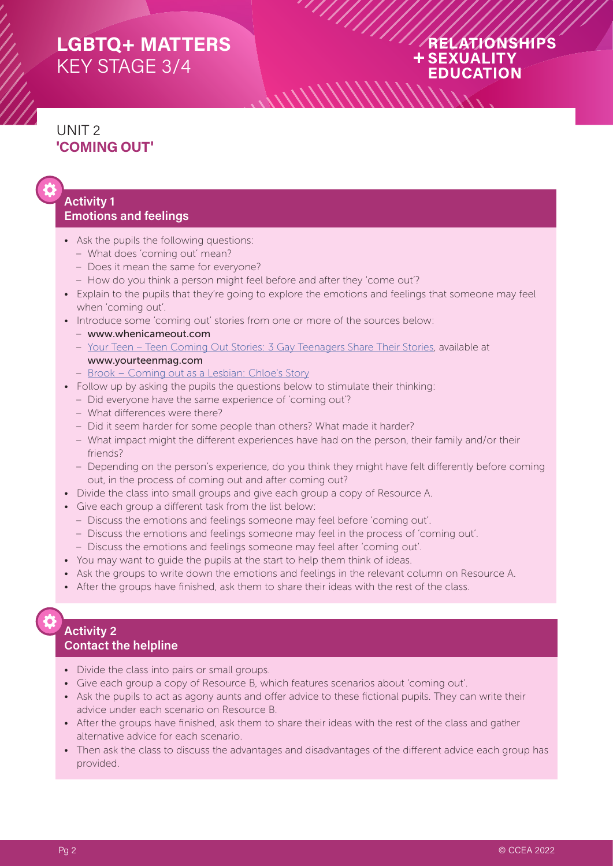## RELATIONSHIPS **+SEXUALITY EDUCATION**

# UNIT 2 **'COMING OUT'**

#### **Activity 1 Emotions and feelings**

- Ask the pupils the following questions:
	- What does 'coming out' mean?
	- Does it mean the same for everyone?
	- How do you think a person might feel before and after they 'come out'?
- Explain to the pupils that they're going to explore the emotions and feelings that someone may feel when 'coming out'.
- Introduce some 'coming out' stories from one or more of the sources below:
	- www.whenicameout.com
	- [Your Teen Teen Coming Out Stories: 3 Gay Teenagers Share Their Stories](https://yourteenmag.com/health/teen-sexuality/coming-out-personal-stories), available at www.yourteenmag.com
	- Brook – [Coming out as a Lesbian: Chloe's Story](https://www.brook.org.uk/your-life/coming-out-as-a-lesbian-chloes-story/)
- Follow up by asking the pupils the questions below to stimulate their thinking:
	- Did everyone have the same experience of 'coming out'?
	- What differences were there?
	- Did it seem harder for some people than others? What made it harder?
	- What impact might the different experiences have had on the person, their family and/or their friends?
	- Depending on the person's experience, do you think they might have felt differently before coming out, in the process of coming out and after coming out?
- Divide the class into small groups and give each group a copy of Resource A.
- Give each group a different task from the list below:
	- Discuss the emotions and feelings someone may feel before 'coming out'.
	- Discuss the emotions and feelings someone may feel in the process of 'coming out'.
	- Discuss the emotions and feelings someone may feel after 'coming out'.
- You may want to guide the pupils at the start to help them think of ideas.
- Ask the groups to write down the emotions and feelings in the relevant column on Resource A.
- After the groups have finished, ask them to share their ideas with the rest of the class.

#### **Activity 2 Contact the helpline**

- Divide the class into pairs or small groups.
- Give each group a copy of Resource B, which features scenarios about 'coming out'.
- Ask the pupils to act as agony aunts and offer advice to these fictional pupils. They can write their advice under each scenario on Resource B.
- After the groups have finished, ask them to share their ideas with the rest of the class and gather alternative advice for each scenario.
- Then ask the class to discuss the advantages and disadvantages of the different advice each group has provided.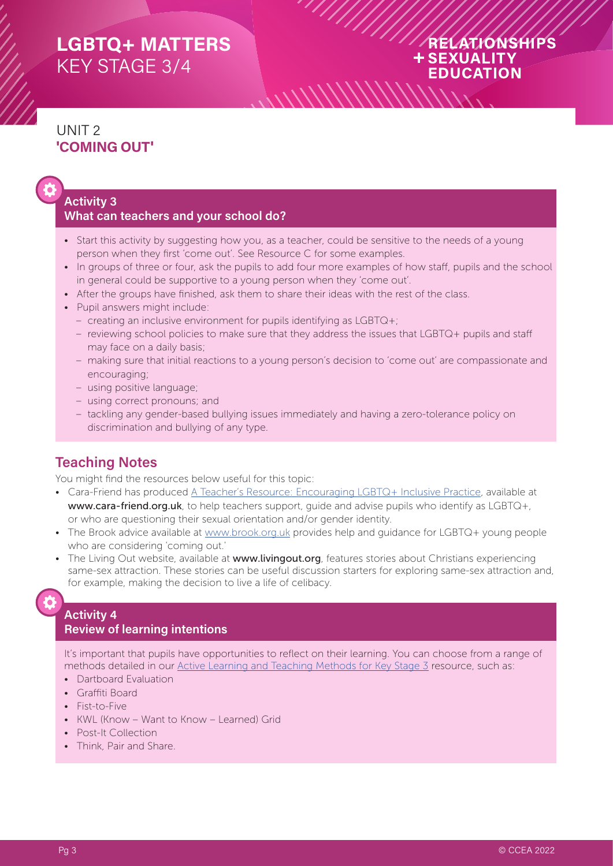## RELATIONSHIPS + SEXUALITY **EDUCATION**

# UNIT 2 **'COMING OUT'**



#### **Activity 3 What can teachers and your school do?**

- Start this activity by suggesting how you, as a teacher, could be sensitive to the needs of a young person when they first 'come out'. See Resource C for some examples.
- In groups of three or four, ask the pupils to add four more examples of how staff, pupils and the school in general could be supportive to a young person when they 'come out'.
- After the groups have finished, ask them to share their ideas with the rest of the class.
- Pupil answers might include:
	- creating an inclusive environment for pupils identifying as LGBTQ+;
	- reviewing school policies to make sure that they address the issues that LGBTQ+ pupils and staff may face on a daily basis;
	- making sure that initial reactions to a young person's decision to 'come out' are compassionate and encouraging;
	- using positive language;
	- using correct pronouns; and
	- tackling any gender-based bullying issues immediately and having a zero-tolerance policy on discrimination and bullying of any type.

### **Teaching Notes**

You might find the resources below useful for this topic:

- Cara-Friend has produced [A Teacher's Resource: Encouraging LGBTQ+ Inclusive Practice](https://cara-friend.org.uk/codeless_portfolio/teachers-resource/), available at www.cara-friend.org.uk, to help teachers support, quide and advise pupils who identify as LGBTQ+, or who are questioning their sexual orientation and/or gender identity.
- The Brook advice available at [www.brook.org.uk](https://www.brook.org.uk/your-life/advice-on-coming-out/) provides help and guidance for LGBTQ+ young people who are considering 'coming out.'
- The Living Out website, available at www.livingout.org, features stories about Christians experiencing same-sex attraction. These stories can be useful discussion starters for exploring same-sex attraction and, for example, making the decision to live a life of celibacy.

#### **Activity 4 Review of learning intentions**

It's important that pupils have opportunities to reflect on their learning. You can choose from a range of methods detailed in our [Active Learning and Teaching Methods for Key Stage 3](https://ccea.org.uk/downloads/docs/ccea-asset/Curriculum/Active%20Learning%20and%20Teaching%20Methods%20for%20Key%20Stage%203.pdf) resource, such as:

- Dartboard Evaluation
- Graffiti Board
- Fist-to-Five
- KWL (Know Want to Know Learned) Grid
- Post-It Collection
- Think, Pair and Share.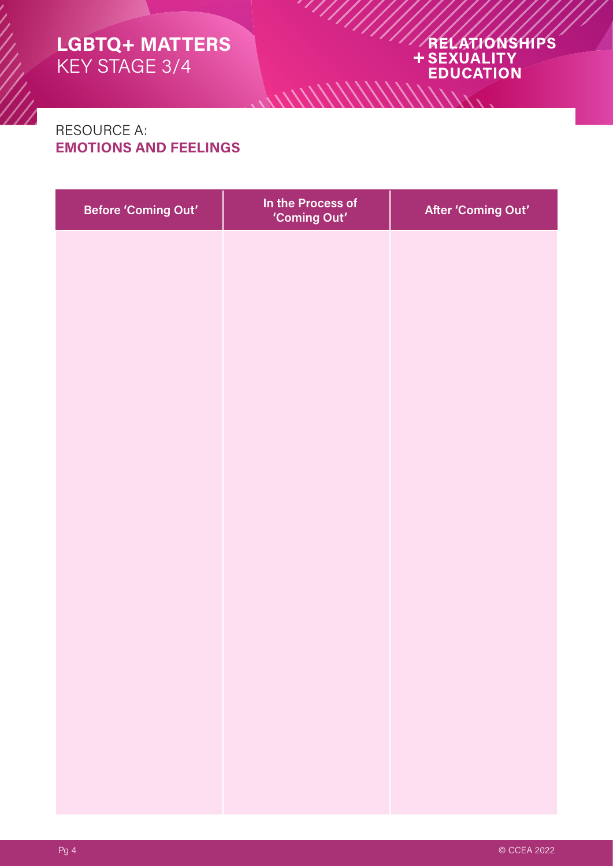# ARELATIONSHIPS **EDUCATION**

## RESOURCE A: **EMOTIONS AND FEELINGS**

| <b>Before 'Coming Out'</b> | In the Process of<br>'Coming Out' | After 'Coming Out' |
|----------------------------|-----------------------------------|--------------------|
|                            |                                   |                    |
|                            |                                   |                    |
|                            |                                   |                    |
|                            |                                   |                    |
|                            |                                   |                    |
|                            |                                   |                    |
|                            |                                   |                    |
|                            |                                   |                    |
|                            |                                   |                    |
|                            |                                   |                    |
|                            |                                   |                    |
|                            |                                   |                    |
|                            |                                   |                    |
|                            |                                   |                    |

 $\frac{1}{2}$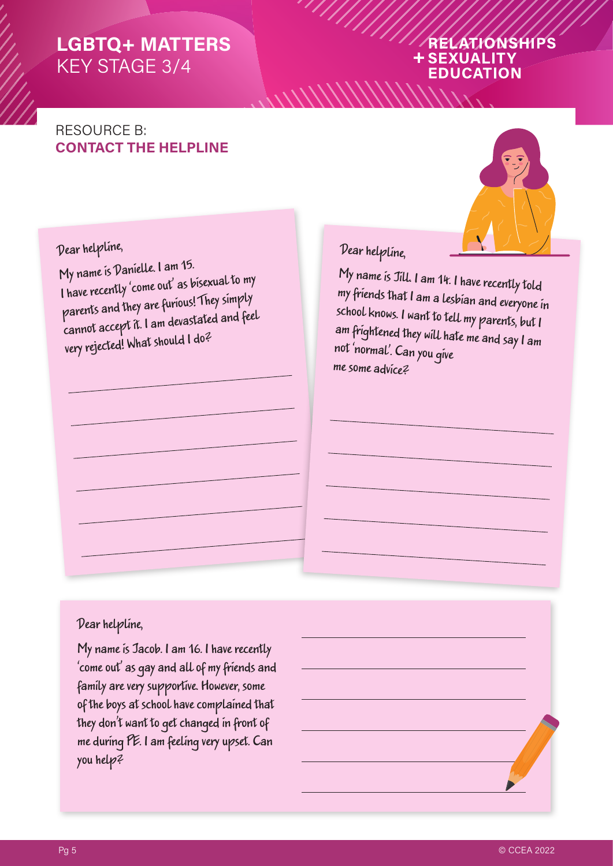### ATIONSHIPS **SEXUALITY EDUCATION**

# RESOURCE B: **CONTACT THE HELPLINE**



# Dear helpline,

My name is Danielle. I am 15. I have recently 'come out' as bisexual to my parents and they are furious! They simply cannot accept it. I am devastated and feel very rejected! What should I do?

# Dear helpline,

My name is Jill. I am 14. I have recently told my friends that I am a lesbian and everyone in school knows. I want to tell my parents, but I am frightened they will hate me and say I am not 'normal'. Can you give me some advice?

#### Dear helpline,

My name is Jacob. I am 16. I have recently 'come out' as gay and all of my friends and family are very supportive. However, some of the boys at school have complained that they don't want to get changed in front of me during PE. I am feeling very upset. Can you help?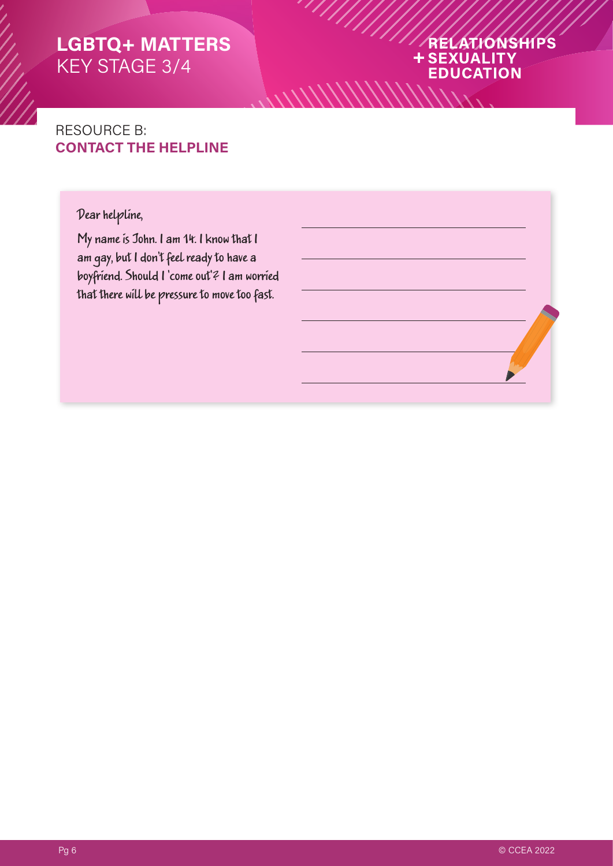### RELATIONSHIPS **+SEXUALITY EDUCATION**

 $\frac{1}{2}$ 

# RESOURCE B: **CONTACT THE HELPLINE**

### Dear helpline,

My name is John. I am 14. I know that I am gay, but I don't feel ready to have a boyfriend. Should I 'come out'? I am worried that there will be pressure to move too fast.